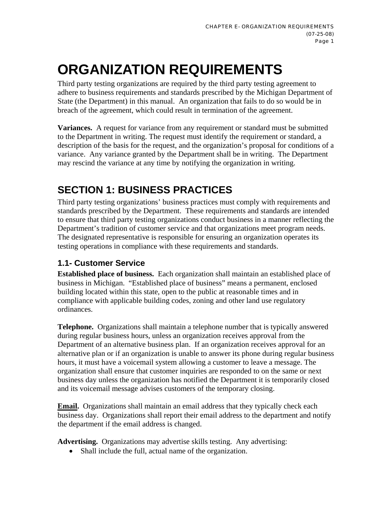# **ORGANIZATION REQUIREMENTS**

Third party testing organizations are required by the third party testing agreement to adhere to business requirements and standards prescribed by the Michigan Department of State (the Department) in this manual. An organization that fails to do so would be in breach of the agreement, which could result in termination of the agreement.

**Variances.** A request for variance from any requirement or standard must be submitted to the Department in writing. The request must identify the requirement or standard, a description of the basis for the request, and the organization's proposal for conditions of a variance. Any variance granted by the Department shall be in writing. The Department may rescind the variance at any time by notifying the organization in writing.

# **SECTION 1: BUSINESS PRACTICES**

Third party testing organizations' business practices must comply with requirements and standards prescribed by the Department. These requirements and standards are intended to ensure that third party testing organizations conduct business in a manner reflecting the Department's tradition of customer service and that organizations meet program needs. The designated representative is responsible for ensuring an organization operates its testing operations in compliance with these requirements and standards.

# **1.1- Customer Service**

**Established place of business.** Each organization shall maintain an established place of business in Michigan. "Established place of business" means a permanent, enclosed building located within this state, open to the public at reasonable times and in compliance with applicable building codes, zoning and other land use regulatory ordinances.

**Telephone.** Organizations shall maintain a telephone number that is typically answered during regular business hours, unless an organization receives approval from the Department of an alternative business plan. If an organization receives approval for an alternative plan or if an organization is unable to answer its phone during regular business hours, it must have a voicemail system allowing a customer to leave a message. The organization shall ensure that customer inquiries are responded to on the same or next business day unless the organization has notified the Department it is temporarily closed and its voicemail message advises customers of the temporary closing.

**Email.** Organizations shall maintain an email address that they typically check each business day. Organizations shall report their email address to the department and notify the department if the email address is changed.

**Advertising.** Organizations may advertise skills testing. Any advertising:

• Shall include the full, actual name of the organization.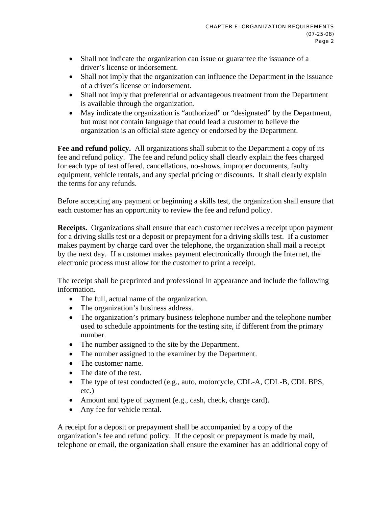- Shall not indicate the organization can issue or guarantee the issuance of a driver's license or indorsement.
- Shall not imply that the organization can influence the Department in the issuance of a driver's license or indorsement.
- Shall not imply that preferential or advantageous treatment from the Department is available through the organization.
- May indicate the organization is "authorized" or "designated" by the Department, but must not contain language that could lead a customer to believe the organization is an official state agency or endorsed by the Department.

**Fee and refund policy.** All organizations shall submit to the Department a copy of its fee and refund policy. The fee and refund policy shall clearly explain the fees charged for each type of test offered, cancellations, no-shows, improper documents, faulty equipment, vehicle rentals, and any special pricing or discounts. It shall clearly explain the terms for any refunds.

Before accepting any payment or beginning a skills test, the organization shall ensure that each customer has an opportunity to review the fee and refund policy.

**Receipts.** Organizations shall ensure that each customer receives a receipt upon payment for a driving skills test or a deposit or prepayment for a driving skills test. If a customer makes payment by charge card over the telephone, the organization shall mail a receipt by the next day. If a customer makes payment electronically through the Internet, the electronic process must allow for the customer to print a receipt.

The receipt shall be preprinted and professional in appearance and include the following information.

- The full, actual name of the organization.
- The organization's business address.
- The organization's primary business telephone number and the telephone number used to schedule appointments for the testing site, if different from the primary number.
- The number assigned to the site by the Department.
- The number assigned to the examiner by the Department.
- The customer name.
- The date of the test.
- The type of test conducted (e.g., auto, motorcycle, CDL-A, CDL-B, CDL BPS, etc.)
- Amount and type of payment (e.g., cash, check, charge card).
- Any fee for vehicle rental.

A receipt for a deposit or prepayment shall be accompanied by a copy of the organization's fee and refund policy. If the deposit or prepayment is made by mail, telephone or email, the organization shall ensure the examiner has an additional copy of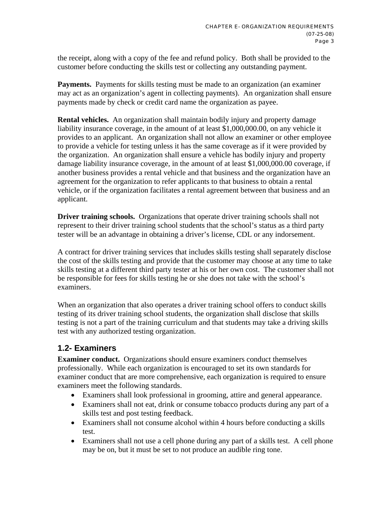the receipt, along with a copy of the fee and refund policy. Both shall be provided to the customer before conducting the skills test or collecting any outstanding payment.

**Payments.** Payments for skills testing must be made to an organization (an examiner may act as an organization's agent in collecting payments). An organization shall ensure payments made by check or credit card name the organization as payee.

**Rental vehicles.** An organization shall maintain bodily injury and property damage liability insurance coverage, in the amount of at least \$1,000,000.00, on any vehicle it provides to an applicant. An organization shall not allow an examiner or other employee to provide a vehicle for testing unless it has the same coverage as if it were provided by the organization. An organization shall ensure a vehicle has bodily injury and property damage liability insurance coverage, in the amount of at least \$1,000,000.00 coverage, if another business provides a rental vehicle and that business and the organization have an agreement for the organization to refer applicants to that business to obtain a rental vehicle, or if the organization facilitates a rental agreement between that business and an applicant.

**Driver training schools.** Organizations that operate driver training schools shall not represent to their driver training school students that the school's status as a third party tester will be an advantage in obtaining a driver's license, CDL or any indorsement.

A contract for driver training services that includes skills testing shall separately disclose the cost of the skills testing and provide that the customer may choose at any time to take skills testing at a different third party tester at his or her own cost. The customer shall not be responsible for fees for skills testing he or she does not take with the school's examiners.

When an organization that also operates a driver training school offers to conduct skills testing of its driver training school students, the organization shall disclose that skills testing is not a part of the training curriculum and that students may take a driving skills test with any authorized testing organization.

# **1.2- Examiners**

**Examiner conduct.** Organizations should ensure examiners conduct themselves professionally. While each organization is encouraged to set its own standards for examiner conduct that are more comprehensive, each organization is required to ensure examiners meet the following standards.

- Examiners shall look professional in grooming, attire and general appearance.
- Examiners shall not eat, drink or consume tobacco products during any part of a skills test and post testing feedback.
- Examiners shall not consume alcohol within 4 hours before conducting a skills test.
- Examiners shall not use a cell phone during any part of a skills test. A cell phone may be on, but it must be set to not produce an audible ring tone.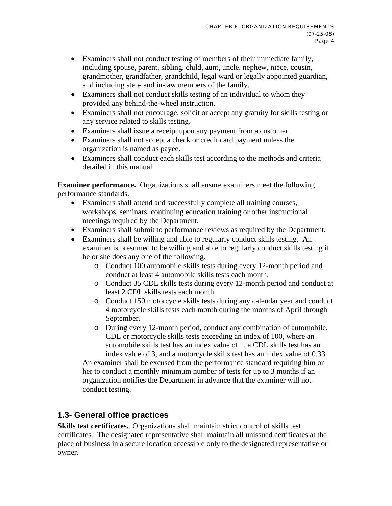- Examiners shall not conduct testing of members of their immediate family, including spouse, parent, sibling, child, aunt, uncle, nephew, niece, cousin, grandmother, grandfather, grandchild, legal ward or legally appointed guardian, and including step- and in-law members of the family.
- Examiners shall not conduct skills testing of an individual to whom they provided any behind-the-wheel instruction.
- Examiners shall not encourage, solicit or accept any gratuity for skills testing or any service related to skills testing.
- Examiners shall issue a receipt upon any payment from a customer.
- Examiners shall not accept a check or credit card payment unless the organization is named as payee.
- Examiners shall conduct each skills test according to the methods and criteria detailed in this manual.

**Examiner performance.** Organizations shall ensure examiners meet the following performance standards.

- Examiners shall attend and successfully complete all training courses, workshops, seminars, continuing education training or other instructional meetings required by the Department.
- Examiners shall submit to performance reviews as required by the Department.
- Examiners shall be willing and able to regularly conduct skills testing. An examiner is presumed to be willing and able to regularly conduct skills testing if he or she does any one of the following.
	- o Conduct 100 automobile skills tests during every 12-month period and conduct at least 4 automobile skills tests each month.
	- o Conduct 35 CDL skills tests during every 12-month period and conduct at least 2 CDL skills tests each month.
	- o Conduct 150 motorcycle skills tests during any calendar year and conduct 4 motorcycle skills tests each month during the months of April through September.
	- o During every 12-month period, conduct any combination of automobile, CDL or motorcycle skills tests exceeding an index of 100, where an automobile skills test has an index value of 1, a CDL skills test has an index value of 3, and a motorcycle skills test has an index value of 0.33.

An examiner shall be excused from the performance standard requiring him or her to conduct a monthly minimum number of tests for up to 3 months if an organization notifies the Department in advance that the examiner will not conduct testing.

# **1.3- General office practices**

**Skills test certificates.** Organizations shall maintain strict control of skills test certificates. The designated representative shall maintain all unissued certificates at the place of business in a secure location accessible only to the designated representative or owner.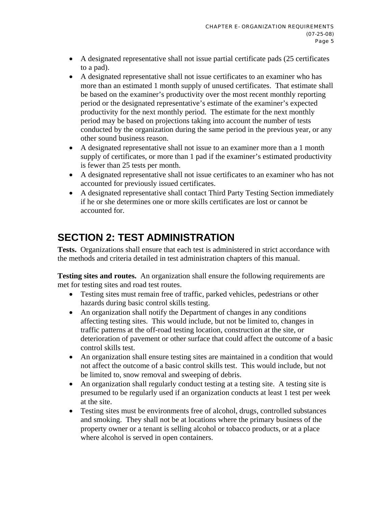- A designated representative shall not issue partial certificate pads (25 certificates to a pad).
- A designated representative shall not issue certificates to an examiner who has more than an estimated 1 month supply of unused certificates. That estimate shall be based on the examiner's productivity over the most recent monthly reporting period or the designated representative's estimate of the examiner's expected productivity for the next monthly period. The estimate for the next monthly period may be based on projections taking into account the number of tests conducted by the organization during the same period in the previous year, or any other sound business reason.
- A designated representative shall not issue to an examiner more than a 1 month supply of certificates, or more than 1 pad if the examiner's estimated productivity is fewer than 25 tests per month.
- A designated representative shall not issue certificates to an examiner who has not accounted for previously issued certificates.
- A designated representative shall contact Third Party Testing Section immediately if he or she determines one or more skills certificates are lost or cannot be accounted for.

# **SECTION 2: TEST ADMINISTRATION**

**Tests.** Organizations shall ensure that each test is administered in strict accordance with the methods and criteria detailed in test administration chapters of this manual.

**Testing sites and routes.** An organization shall ensure the following requirements are met for testing sites and road test routes.

- Testing sites must remain free of traffic, parked vehicles, pedestrians or other hazards during basic control skills testing.
- An organization shall notify the Department of changes in any conditions affecting testing sites. This would include, but not be limited to, changes in traffic patterns at the off-road testing location, construction at the site, or deterioration of pavement or other surface that could affect the outcome of a basic control skills test.
- An organization shall ensure testing sites are maintained in a condition that would not affect the outcome of a basic control skills test. This would include, but not be limited to, snow removal and sweeping of debris.
- An organization shall regularly conduct testing at a testing site. A testing site is presumed to be regularly used if an organization conducts at least 1 test per week at the site.
- Testing sites must be environments free of alcohol, drugs, controlled substances and smoking. They shall not be at locations where the primary business of the property owner or a tenant is selling alcohol or tobacco products, or at a place where alcohol is served in open containers.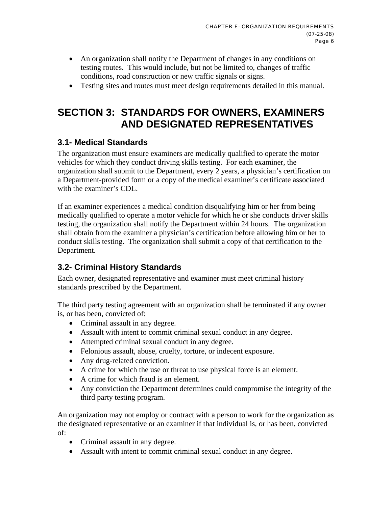- An organization shall notify the Department of changes in any conditions on testing routes. This would include, but not be limited to, changes of traffic conditions, road construction or new traffic signals or signs.
- Testing sites and routes must meet design requirements detailed in this manual.

# **SECTION 3: STANDARDS FOR OWNERS, EXAMINERS AND DESIGNATED REPRESENTATIVES**

# **3.1- Medical Standards**

The organization must ensure examiners are medically qualified to operate the motor vehicles for which they conduct driving skills testing. For each examiner, the organization shall submit to the Department, every 2 years, a physician's certification on a Department-provided form or a copy of the medical examiner's certificate associated with the examiner's CDL.

If an examiner experiences a medical condition disqualifying him or her from being medically qualified to operate a motor vehicle for which he or she conducts driver skills testing, the organization shall notify the Department within 24 hours. The organization shall obtain from the examiner a physician's certification before allowing him or her to conduct skills testing. The organization shall submit a copy of that certification to the Department.

# **3.2- Criminal History Standards**

Each owner, designated representative and examiner must meet criminal history standards prescribed by the Department.

The third party testing agreement with an organization shall be terminated if any owner is, or has been, convicted of:

- Criminal assault in any degree.
- Assault with intent to commit criminal sexual conduct in any degree.
- Attempted criminal sexual conduct in any degree.
- Felonious assault, abuse, cruelty, torture, or indecent exposure.
- Any drug-related conviction.
- A crime for which the use or threat to use physical force is an element.
- A crime for which fraud is an element.
- Any conviction the Department determines could compromise the integrity of the third party testing program.

An organization may not employ or contract with a person to work for the organization as the designated representative or an examiner if that individual is, or has been, convicted of:

- Criminal assault in any degree.
- Assault with intent to commit criminal sexual conduct in any degree.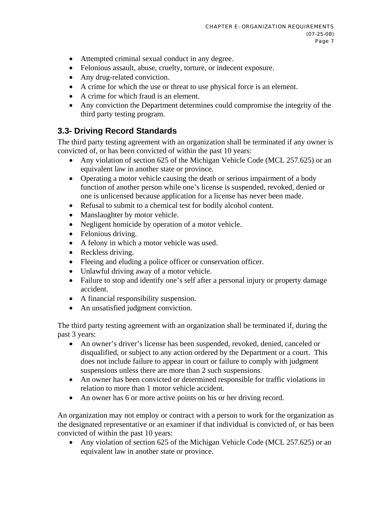- Attempted criminal sexual conduct in any degree.
- Felonious assault, abuse, cruelty, torture, or indecent exposure.
- Any drug-related conviction.
- A crime for which the use or threat to use physical force is an element.
- A crime for which fraud is an element.
- Any conviction the Department determines could compromise the integrity of the third party testing program.

# **3.3- Driving Record Standards**

The third party testing agreement with an organization shall be terminated if any owner is convicted of, or has been convicted of within the past 10 years:

- Any violation of section 625 of the Michigan Vehicle Code (MCL 257.625) or an equivalent law in another state or province.
- Operating a motor vehicle causing the death or serious impairment of a body function of another person while one's license is suspended, revoked, denied or one is unlicensed because application for a license has never been made.
- Refusal to submit to a chemical test for bodily alcohol content.
- Manslaughter by motor vehicle.
- Negligent homicide by operation of a motor vehicle.
- Felonious driving.
- A felony in which a motor vehicle was used.
- Reckless driving.
- Fleeing and eluding a police officer or conservation officer.
- Unlawful driving away of a motor vehicle.
- Failure to stop and identify one's self after a personal injury or property damage accident.
- A financial responsibility suspension.
- An unsatisfied judgment conviction.

The third party testing agreement with an organization shall be terminated if, during the past 3 years:

- An owner's driver's license has been suspended, revoked, denied, canceled or disqualified, or subject to any action ordered by the Department or a court. This does not include failure to appear in court or failure to comply with judgment suspensions unless there are more than 2 such suspensions.
- An owner has been convicted or determined responsible for traffic violations in relation to more than 1 motor vehicle accident.
- An owner has 6 or more active points on his or her driving record.

An organization may not employ or contract with a person to work for the organization as the designated representative or an examiner if that individual is convicted of, or has been convicted of within the past 10 years:

• Any violation of section 625 of the Michigan Vehicle Code (MCL 257.625) or an equivalent law in another state or province.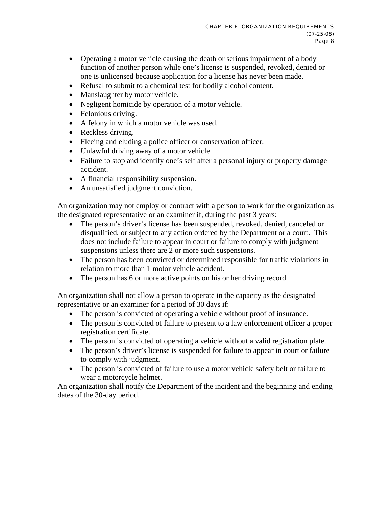- Operating a motor vehicle causing the death or serious impairment of a body function of another person while one's license is suspended, revoked, denied or one is unlicensed because application for a license has never been made.
- Refusal to submit to a chemical test for bodily alcohol content.
- Manslaughter by motor vehicle.
- Negligent homicide by operation of a motor vehicle.
- Felonious driving.
- A felony in which a motor vehicle was used.
- Reckless driving.
- Fleeing and eluding a police officer or conservation officer.
- Unlawful driving away of a motor vehicle.
- Failure to stop and identify one's self after a personal injury or property damage accident.
- A financial responsibility suspension.
- An unsatisfied judgment conviction.

An organization may not employ or contract with a person to work for the organization as the designated representative or an examiner if, during the past 3 years:

- The person's driver's license has been suspended, revoked, denied, canceled or disqualified, or subject to any action ordered by the Department or a court. This does not include failure to appear in court or failure to comply with judgment suspensions unless there are 2 or more such suspensions.
- The person has been convicted or determined responsible for traffic violations in relation to more than 1 motor vehicle accident.
- The person has 6 or more active points on his or her driving record.

An organization shall not allow a person to operate in the capacity as the designated representative or an examiner for a period of 30 days if:

- The person is convicted of operating a vehicle without proof of insurance.
- The person is convicted of failure to present to a law enforcement officer a proper registration certificate.
- The person is convicted of operating a vehicle without a valid registration plate.
- The person's driver's license is suspended for failure to appear in court or failure to comply with judgment.
- The person is convicted of failure to use a motor vehicle safety belt or failure to wear a motorcycle helmet.

An organization shall notify the Department of the incident and the beginning and ending dates of the 30-day period.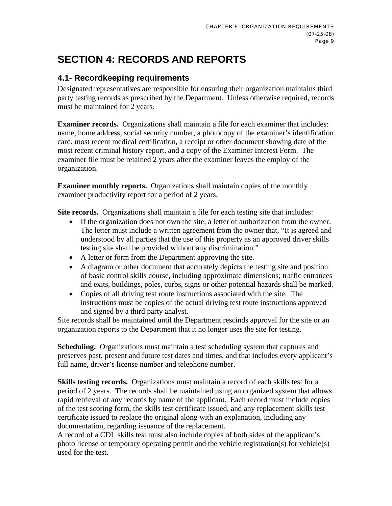# **SECTION 4: RECORDS AND REPORTS**

# **4.1- Recordkeeping requirements**

Designated representatives are responsible for ensuring their organization maintains third party testing records as prescribed by the Department. Unless otherwise required, records must be maintained for 2 years.

**Examiner records.** Organizations shall maintain a file for each examiner that includes: name, home address, social security number, a photocopy of the examiner's identification card, most recent medical certification, a receipt or other document showing date of the most recent criminal history report, and a copy of the Examiner Interest Form. The examiner file must be retained 2 years after the examiner leaves the employ of the organization.

**Examiner monthly reports.** Organizations shall maintain copies of the monthly examiner productivity report for a period of 2 years.

**Site records.** Organizations shall maintain a file for each testing site that includes:

- If the organization does not own the site, a letter of authorization from the owner. The letter must include a written agreement from the owner that, "It is agreed and understood by all parties that the use of this property as an approved driver skills testing site shall be provided without any discrimination."
- A letter or form from the Department approving the site.
- A diagram or other document that accurately depicts the testing site and position of basic control skills course, including approximate dimensions; traffic entrances and exits, buildings, poles, curbs, signs or other potential hazards shall be marked.
- Copies of all driving test route instructions associated with the site. The instructions must be copies of the actual driving test route instructions approved and signed by a third party analyst.

Site records shall be maintained until the Department rescinds approval for the site or an organization reports to the Department that it no longer uses the site for testing.

**Scheduling.** Organizations must maintain a test scheduling system that captures and preserves past, present and future test dates and times, and that includes every applicant's full name, driver's license number and telephone number.

**Skills testing records.** Organizations must maintain a record of each skills test for a period of 2 years. The records shall be maintained using an organized system that allows rapid retrieval of any records by name of the applicant. Each record must include copies of the test scoring form, the skills test certificate issued, and any replacement skills test certificate issued to replace the original along with an explanation, including any documentation, regarding issuance of the replacement.

A record of a CDL skills test must also include copies of both sides of the applicant's photo license or temporary operating permit and the vehicle registration(s) for vehicle(s) used for the test.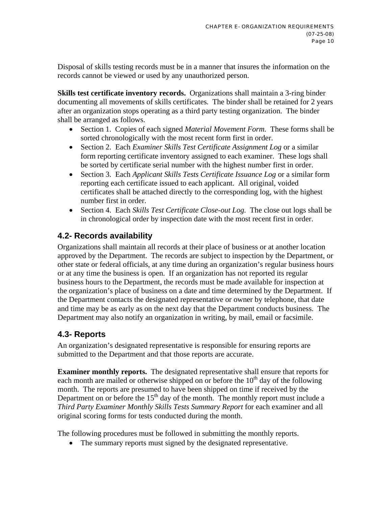Disposal of skills testing records must be in a manner that insures the information on the records cannot be viewed or used by any unauthorized person.

**Skills test certificate inventory records.** Organizations shall maintain a 3-ring binder documenting all movements of skills certificates. The binder shall be retained for 2 years after an organization stops operating as a third party testing organization. The binder shall be arranged as follows.

- Section 1. Copies of each signed *Material Movement Form.* These forms shall be sorted chronologically with the most recent form first in order.
- Section 2. Each *Examiner Skills Test Certificate Assignment Log* or a similar form reporting certificate inventory assigned to each examiner. These logs shall be sorted by certificate serial number with the highest number first in order.
- Section 3. Each *Applicant Skills Tests Certificate Issuance Log* or a similar form reporting each certificate issued to each applicant. All original, voided certificates shall be attached directly to the corresponding log, with the highest number first in order.
- Section 4. Each *Skills Test Certificate Close-out Log.* The close out logs shall be in chronological order by inspection date with the most recent first in order.

# **4.2- Records availability**

Organizations shall maintain all records at their place of business or at another location approved by the Department. The records are subject to inspection by the Department, or other state or federal officials, at any time during an organization's regular business hours or at any time the business is open. If an organization has not reported its regular business hours to the Department, the records must be made available for inspection at the organization's place of business on a date and time determined by the Department. If the Department contacts the designated representative or owner by telephone, that date and time may be as early as on the next day that the Department conducts business. The Department may also notify an organization in writing, by mail, email or facsimile.

# **4.3- Reports**

An organization's designated representative is responsible for ensuring reports are submitted to the Department and that those reports are accurate.

**Examiner monthly reports.** The designated representative shall ensure that reports for each month are mailed or otherwise shipped on or before the  $10<sup>th</sup>$  day of the following month. The reports are presumed to have been shipped on time if received by the Department on or before the  $15<sup>th</sup>$  day of the month. The monthly report must include a *Third Party Examiner Monthly Skills Tests Summary Report* for each examiner and all original scoring forms for tests conducted during the month.

The following procedures must be followed in submitting the monthly reports.

• The summary reports must signed by the designated representative.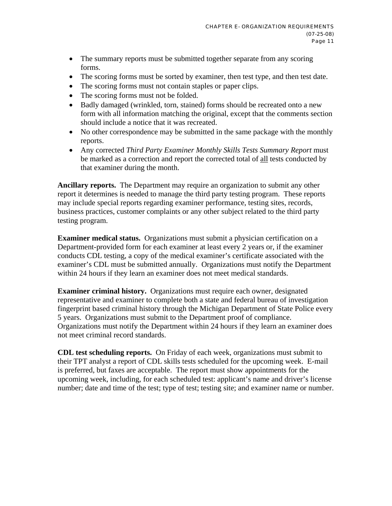- The summary reports must be submitted together separate from any scoring forms.
- The scoring forms must be sorted by examiner, then test type, and then test date.
- The scoring forms must not contain staples or paper clips.
- The scoring forms must not be folded.
- Badly damaged (wrinkled, torn, stained) forms should be recreated onto a new form with all information matching the original, except that the comments section should include a notice that it was recreated.
- No other correspondence may be submitted in the same package with the monthly reports.
- Any corrected *Third Party Examiner Monthly Skills Tests Summary Report* must be marked as a correction and report the corrected total of all tests conducted by that examiner during the month.

**Ancillary reports.** The Department may require an organization to submit any other report it determines is needed to manage the third party testing program. These reports may include special reports regarding examiner performance, testing sites, records, business practices, customer complaints or any other subject related to the third party testing program.

**Examiner medical status.** Organizations must submit a physician certification on a Department-provided form for each examiner at least every 2 years or, if the examiner conducts CDL testing, a copy of the medical examiner's certificate associated with the examiner's CDL must be submitted annually. Organizations must notify the Department within 24 hours if they learn an examiner does not meet medical standards.

**Examiner criminal history.** Organizations must require each owner, designated representative and examiner to complete both a state and federal bureau of investigation fingerprint based criminal history through the Michigan Department of State Police every 5 years. Organizations must submit to the Department proof of compliance. Organizations must notify the Department within 24 hours if they learn an examiner does not meet criminal record standards.

**CDL test scheduling reports.** On Friday of each week, organizations must submit to their TPT analyst a report of CDL skills tests scheduled for the upcoming week. E-mail is preferred, but faxes are acceptable. The report must show appointments for the upcoming week, including, for each scheduled test: applicant's name and driver's license number; date and time of the test; type of test; testing site; and examiner name or number.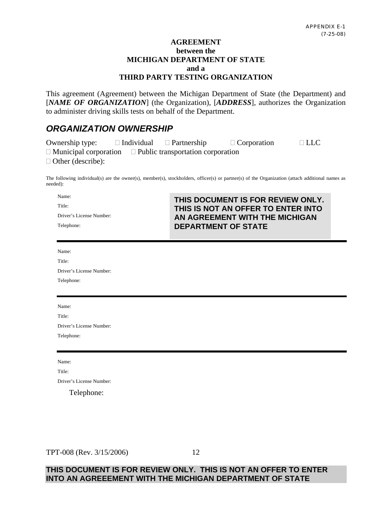#### **AGREEMENT between the MICHIGAN DEPARTMENT OF STATE and a THIRD PARTY TESTING ORGANIZATION**

This agreement (Agreement) between the Michigan Department of State (the Department) and [*NAME OF ORGANIZATION*] (the Organization), [*ADDRESS*], authorizes the Organization to administer driving skills tests on behalf of the Department.

# *ORGANIZATION OWNERSHIP*

| Ownership type:                                                       | $\Box$ Individual $\Box$ Partnership | $\Box$ Corporation | $\Box$ LLC |
|-----------------------------------------------------------------------|--------------------------------------|--------------------|------------|
| $\Box$ Municipal corporation $\Box$ Public transportation corporation |                                      |                    |            |
| $\Box$ Other (describe):                                              |                                      |                    |            |

The following individual(s) are the owner(s), member(s), stockholders, officer(s) or partner(s) of the Organization (attach additional names as needed):

| Name:                    | THIS DOCUMENT IS FOR REVIEW ONLY.  |
|--------------------------|------------------------------------|
| Title:                   | THIS IS NOT AN OFFER TO ENTER INTO |
| Driver's License Number: | AN AGREEMENT WITH THE MICHIGAN     |
| Telephone:               | <b>DEPARTMENT OF STATE</b>         |
|                          |                                    |

Name: Title:

| 1111                     |
|--------------------------|
| Driver's License Number: |
| Telephone:               |

| Name:                    |
|--------------------------|
| Title:                   |
| Driver's License Number: |
| Telephone:               |

Name:

Title:

Driver's License Number:

Telephone:

#### TPT-008 (Rev. 3/15/2006)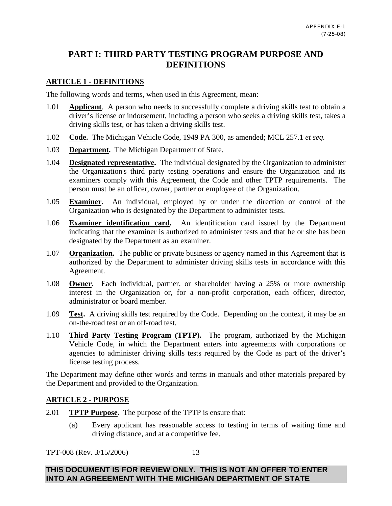### **PART I: THIRD PARTY TESTING PROGRAM PURPOSE AND DEFINITIONS**

#### **ARTICLE 1 - DEFINITIONS**

The following words and terms, when used in this Agreement, mean:

- 1.01 **Applicant**. A person who needs to successfully complete a driving skills test to obtain a driver's license or indorsement, including a person who seeks a driving skills test, takes a driving skills test, or has taken a driving skills test.
- 1.02 **Code.** The Michigan Vehicle Code, 1949 PA 300, as amended; MCL 257.1 *et seq.*
- 1.03 **Department.** The Michigan Department of State.
- 1.04 **Designated representative.** The individual designated by the Organization to administer the Organization's third party testing operations and ensure the Organization and its examiners comply with this Agreement, the Code and other TPTP requirements. The person must be an officer, owner, partner or employee of the Organization.
- 1.05 **Examiner.** An individual, employed by or under the direction or control of the Organization who is designated by the Department to administer tests.
- 1.06 **Examiner identification card.** An identification card issued by the Department indicating that the examiner is authorized to administer tests and that he or she has been designated by the Department as an examiner.
- 1.07 **Organization.** The public or private business or agency named in this Agreement that is authorized by the Department to administer driving skills tests in accordance with this Agreement.
- 1.08 **Owner.** Each individual, partner, or shareholder having a 25% or more ownership interest in the Organization or, for a non-profit corporation, each officer, director, administrator or board member.
- 1.09 **Test.** A driving skills test required by the Code. Depending on the context, it may be an on-the-road test or an off-road test.
- 1.10 **Third Party Testing Program (TPTP).** The program, authorized by the Michigan Vehicle Code, in which the Department enters into agreements with corporations or agencies to administer driving skills tests required by the Code as part of the driver's license testing process.

The Department may define other words and terms in manuals and other materials prepared by the Department and provided to the Organization.

#### **ARTICLE 2 - PURPOSE**

- 2.01 **TPTP Purpose.** The purpose of the TPTP is ensure that:
	- (a) Every applicant has reasonable access to testing in terms of waiting time and driving distance, and at a competitive fee.

TPT-008 (Rev. 3/15/2006)

13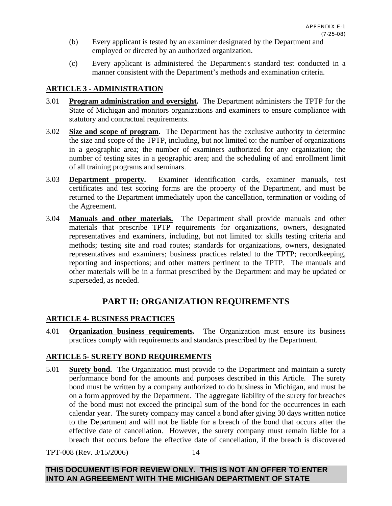- (b) Every applicant is tested by an examiner designated by the Department and employed or directed by an authorized organization.
- (c) Every applicant is administered the Department's standard test conducted in a manner consistent with the Department's methods and examination criteria.

#### **ARTICLE 3 - ADMINISTRATION**

- 3.01 **Program administration and oversight.** The Department administers the TPTP for the State of Michigan and monitors organizations and examiners to ensure compliance with statutory and contractual requirements.
- 3.02 **Size and scope of program.** The Department has the exclusive authority to determine the size and scope of the TPTP, including, but not limited to: the number of organizations in a geographic area; the number of examiners authorized for any organization; the number of testing sites in a geographic area; and the scheduling of and enrollment limit of all training programs and seminars.
- 3.03 **Department property.** Examiner identification cards, examiner manuals, test certificates and test scoring forms are the property of the Department, and must be returned to the Department immediately upon the cancellation, termination or voiding of the Agreement.
- 3.04 **Manuals and other materials.** The Department shall provide manuals and other materials that prescribe TPTP requirements for organizations, owners, designated representatives and examiners, including, but not limited to: skills testing criteria and methods; testing site and road routes; standards for organizations, owners, designated representatives and examiners; business practices related to the TPTP; recordkeeping, reporting and inspections; and other matters pertinent to the TPTP. The manuals and other materials will be in a format prescribed by the Department and may be updated or superseded, as needed.

# **PART II: ORGANIZATION REQUIREMENTS**

#### **ARTICLE 4- BUSINESS PRACTICES**

4.01 **Organization business requirements.** The Organization must ensure its business practices comply with requirements and standards prescribed by the Department.

#### **ARTICLE 5- SURETY BOND REQUIREMENTS**

5.01 **Surety bond.** The Organization must provide to the Department and maintain a surety performance bond for the amounts and purposes described in this Article. The surety bond must be written by a company authorized to do business in Michigan, and must be on a form approved by the Department. The aggregate liability of the surety for breaches of the bond must not exceed the principal sum of the bond for the occurrences in each calendar year. The surety company may cancel a bond after giving 30 days written notice to the Department and will not be liable for a breach of the bond that occurs after the effective date of cancellation. However, the surety company must remain liable for a breach that occurs before the effective date of cancellation, if the breach is discovered

TPT-008 (Rev. 3/15/2006)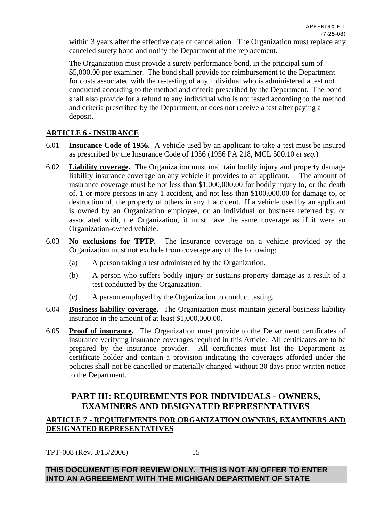within 3 years after the effective date of cancellation. The Organization must replace any canceled surety bond and notify the Department of the replacement.

The Organization must provide a surety performance bond, in the principal sum of \$5,000.00 per examiner. The bond shall provide for reimbursement to the Department for costs associated with the re-testing of any individual who is administered a test not conducted according to the method and criteria prescribed by the Department. The bond shall also provide for a refund to any individual who is not tested according to the method and criteria prescribed by the Department, or does not receive a test after paying a deposit.

#### **ARTICLE 6 - INSURANCE**

- 6.01 **Insurance Code of 1956.** A vehicle used by an applicant to take a test must be insured as prescribed by the Insurance Code of 1956 (1956 PA 218, MCL 500.10 *et seq.*)
- 6.02 **Liability coverage.** The Organization must maintain bodily injury and property damage liability insurance coverage on any vehicle it provides to an applicant. The amount of insurance coverage must be not less than \$1,000,000.00 for bodily injury to, or the death of, 1 or more persons in any 1 accident, and not less than \$100,000.00 for damage to, or destruction of, the property of others in any 1 accident. If a vehicle used by an applicant is owned by an Organization employee, or an individual or business referred by, or associated with, the Organization, it must have the same coverage as if it were an Organization-owned vehicle.
- 6.03 **No exclusions for TPTP.** The insurance coverage on a vehicle provided by the Organization must not exclude from coverage any of the following:
	- (a) A person taking a test administered by the Organization.
	- (b) A person who suffers bodily injury or sustains property damage as a result of a test conducted by the Organization.
	- (c) A person employed by the Organization to conduct testing.
- 6.04 **Business liability coverage.** The Organization must maintain general business liability insurance in the amount of at least \$1,000,000.00.
- 6.05 **Proof of insurance.** The Organization must provide to the Department certificates of insurance verifying insurance coverages required in this Article. All certificates are to be prepared by the insurance provider. All certificates must list the Department as certificate holder and contain a provision indicating the coverages afforded under the policies shall not be cancelled or materially changed without 30 days prior written notice to the Department.

# **PART III: REQUIREMENTS FOR INDIVIDUALS - OWNERS, EXAMINERS AND DESIGNATED REPRESENTATIVES**

#### **ARTICLE 7 - REQUIREMENTS FOR ORGANIZATION OWNERS, EXAMINERS AND DESIGNATED REPRESENTATIVES**

TPT-008 (Rev. 3/15/2006)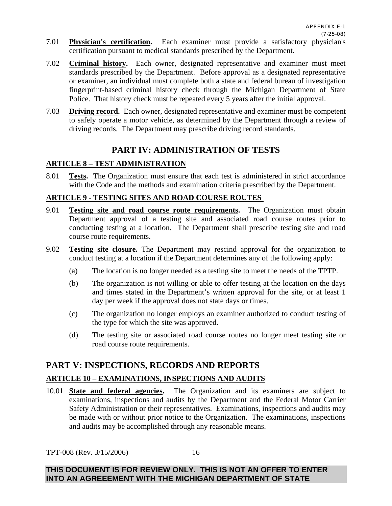- 7.01 **Physician's certification.** Each examiner must provide a satisfactory physician's certification pursuant to medical standards prescribed by the Department.
- 7.02 **Criminal history.** Each owner, designated representative and examiner must meet standards prescribed by the Department. Before approval as a designated representative or examiner, an individual must complete both a state and federal bureau of investigation fingerprint-based criminal history check through the Michigan Department of State Police. That history check must be repeated every 5 years after the initial approval.
- 7.03 **Driving record.** Each owner, designated representative and examiner must be competent to safely operate a motor vehicle, as determined by the Department through a review of driving records. The Department may prescribe driving record standards.

# **PART IV: ADMINISTRATION OF TESTS**

#### **ARTICLE 8 – TEST ADMINISTRATION**

8.01 **Tests.** The Organization must ensure that each test is administered in strict accordance with the Code and the methods and examination criteria prescribed by the Department.

#### **ARTICLE 9 - TESTING SITES AND ROAD COURSE ROUTES**

- 9.01 **Testing site and road course route requirements.** The Organization must obtain Department approval of a testing site and associated road course routes prior to conducting testing at a location. The Department shall prescribe testing site and road course route requirements.
- 9.02 **Testing site closure.** The Department may rescind approval for the organization to conduct testing at a location if the Department determines any of the following apply:
	- (a) The location is no longer needed as a testing site to meet the needs of the TPTP.
	- (b) The organization is not willing or able to offer testing at the location on the days and times stated in the Department's written approval for the site, or at least 1 day per week if the approval does not state days or times.
	- (c) The organization no longer employs an examiner authorized to conduct testing of the type for which the site was approved.
	- (d) The testing site or associated road course routes no longer meet testing site or road course route requirements.

# **PART V: INSPECTIONS, RECORDS AND REPORTS**

#### **ARTICLE 10 – EXAMINATIONS, INSPECTIONS AND AUDITS**

10.01 **State and federal agencies.** The Organization and its examiners are subject to examinations, inspections and audits by the Department and the Federal Motor Carrier Safety Administration or their representatives. Examinations, inspections and audits may be made with or without prior notice to the Organization. The examinations, inspections and audits may be accomplished through any reasonable means.

TPT-008 (Rev. 3/15/2006)

16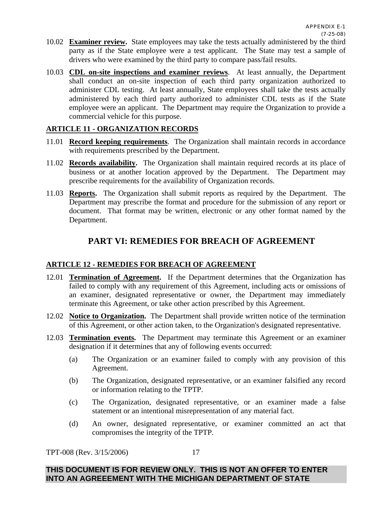- 10.02 **Examiner review.** State employees may take the tests actually administered by the third party as if the State employee were a test applicant. The State may test a sample of drivers who were examined by the third party to compare pass/fail results.
- 10.03 **CDL on-site inspections and examiner reviews**. At least annually, the Department shall conduct an on-site inspection of each third party organization authorized to administer CDL testing. At least annually, State employees shall take the tests actually administered by each third party authorized to administer CDL tests as if the State employee were an applicant. The Department may require the Organization to provide a commercial vehicle for this purpose.

#### **ARTICLE 11 - ORGANIZATION RECORDS**

- 11.01 **Record keeping requirements**. The Organization shall maintain records in accordance with requirements prescribed by the Department.
- 11.02 **Records availability.** The Organization shall maintain required records at its place of business or at another location approved by the Department. The Department may prescribe requirements for the availability of Organization records.
- 11.03 **Reports.** The Organization shall submit reports as required by the Department. The Department may prescribe the format and procedure for the submission of any report or document. That format may be written, electronic or any other format named by the Department.

### **PART VI: REMEDIES FOR BREACH OF AGREEMENT**

#### **ARTICLE 12 - REMEDIES FOR BREACH OF AGREEMENT**

- 12.01 **Termination of Agreement.** If the Department determines that the Organization has failed to comply with any requirement of this Agreement, including acts or omissions of an examiner, designated representative or owner, the Department may immediately terminate this Agreement, or take other action prescribed by this Agreement.
- 12.02 **Notice to Organization.** The Department shall provide written notice of the termination of this Agreement, or other action taken, to the Organization's designated representative.
- 12.03 **Termination events.** The Department may terminate this Agreement or an examiner designation if it determines that any of following events occurred:
	- (a) The Organization or an examiner failed to comply with any provision of this Agreement.
	- (b) The Organization, designated representative, or an examiner falsified any record or information relating to the TPTP.
	- (c) The Organization, designated representative, or an examiner made a false statement or an intentional misrepresentation of any material fact.
	- (d) An owner, designated representative, or examiner committed an act that compromises the integrity of the TPTP.

TPT-008 (Rev. 3/15/2006)

17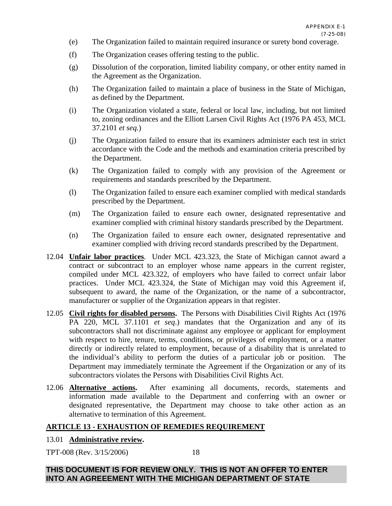- (e) The Organization failed to maintain required insurance or surety bond coverage.
- (f) The Organization ceases offering testing to the public.
- (g) Dissolution of the corporation, limited liability company, or other entity named in the Agreement as the Organization.
- (h) The Organization failed to maintain a place of business in the State of Michigan, as defined by the Department.
- (i) The Organization violated a state, federal or local law, including, but not limited to, zoning ordinances and the Elliott Larsen Civil Rights Act (1976 PA 453, MCL 37.2101 *et seq.*)
- (j) The Organization failed to ensure that its examiners administer each test in strict accordance with the Code and the methods and examination criteria prescribed by the Department.
- (k) The Organization failed to comply with any provision of the Agreement or requirements and standards prescribed by the Department.
- (l) The Organization failed to ensure each examiner complied with medical standards prescribed by the Department.
- (m) The Organization failed to ensure each owner, designated representative and examiner complied with criminal history standards prescribed by the Department.
- (n) The Organization failed to ensure each owner, designated representative and examiner complied with driving record standards prescribed by the Department.
- 12.04 **Unfair labor practices**. Under MCL 423.323, the State of Michigan cannot award a contract or subcontract to an employer whose name appears in the current register, compiled under MCL 423.322, of employers who have failed to correct unfair labor practices. Under MCL 423.324, the State of Michigan may void this Agreement if, subsequent to award, the name of the Organization, or the name of a subcontractor, manufacturer or supplier of the Organization appears in that register.
- 12.05 **Civil rights for disabled persons.** The Persons with Disabilities Civil Rights Act (1976 PA 220, MCL 37.1101 *et seq*.) mandates that the Organization and any of its subcontractors shall not discriminate against any employee or applicant for employment with respect to hire, tenure, terms, conditions, or privileges of employment, or a matter directly or indirectly related to employment, because of a disability that is unrelated to the individual's ability to perform the duties of a particular job or position. The Department may immediately terminate the Agreement if the Organization or any of its subcontractors violates the Persons with Disabilities Civil Rights Act.
- 12.06 **Alternative actions.** After examining all documents, records, statements and information made available to the Department and conferring with an owner or designated representative, the Department may choose to take other action as an alternative to termination of this Agreement.

#### **ARTICLE 13 - EXHAUSTION OF REMEDIES REQUIREMENT**

#### 13.01 **Administrative review.**

TPT-008 (Rev. 3/15/2006)

18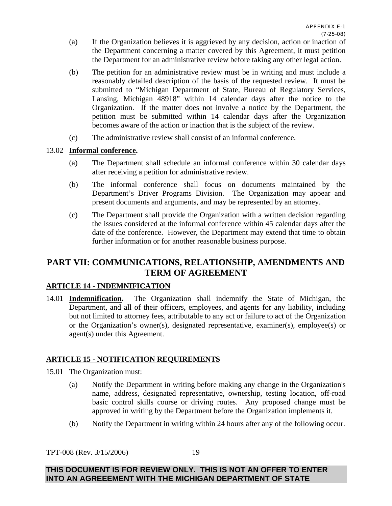- (a) If the Organization believes it is aggrieved by any decision, action or inaction of the Department concerning a matter covered by this Agreement, it must petition the Department for an administrative review before taking any other legal action.
- (b) The petition for an administrative review must be in writing and must include a reasonably detailed description of the basis of the requested review. It must be submitted to "Michigan Department of State, Bureau of Regulatory Services, Lansing, Michigan 48918" within 14 calendar days after the notice to the Organization. If the matter does not involve a notice by the Department, the petition must be submitted within 14 calendar days after the Organization becomes aware of the action or inaction that is the subject of the review.
- (c) The administrative review shall consist of an informal conference.

#### 13.02 **Informal conference.**

- (a) The Department shall schedule an informal conference within 30 calendar days after receiving a petition for administrative review.
- (b) The informal conference shall focus on documents maintained by the Department's Driver Programs Division. The Organization may appear and present documents and arguments, and may be represented by an attorney.
- (c) The Department shall provide the Organization with a written decision regarding the issues considered at the informal conference within 45 calendar days after the date of the conference. However, the Department may extend that time to obtain further information or for another reasonable business purpose.

# **PART VII: COMMUNICATIONS, RELATIONSHIP, AMENDMENTS AND TERM OF AGREEMENT**

#### **ARTICLE 14 - INDEMNIFICATION**

14.01 **Indemnification.** The Organization shall indemnify the State of Michigan, the Department, and all of their officers, employees, and agents for any liability, including but not limited to attorney fees, attributable to any act or failure to act of the Organization or the Organization's owner(s), designated representative, examiner(s), employee(s) or agent(s) under this Agreement.

#### **ARTICLE 15 - NOTIFICATION REQUIREMENTS**

15.01 The Organization must:

- (a) Notify the Department in writing before making any change in the Organization's name, address, designated representative, ownership, testing location, off-road basic control skills course or driving routes. Any proposed change must be approved in writing by the Department before the Organization implements it.
- (b) Notify the Department in writing within 24 hours after any of the following occur.

TPT-008 (Rev. 3/15/2006)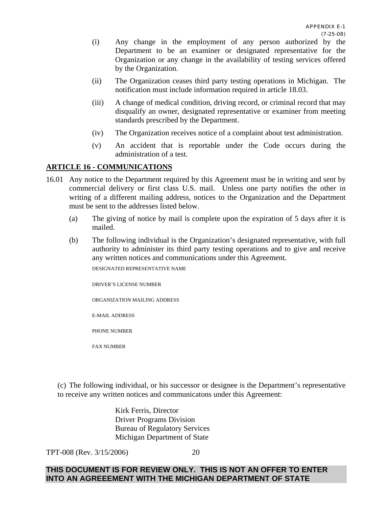- (i) Any change in the employment of any person authorized by the Department to be an examiner or designated representative for the Organization or any change in the availability of testing services offered by the Organization.
- (ii) The Organization ceases third party testing operations in Michigan. The notification must include information required in article 18.03.
- (iii) A change of medical condition, driving record, or criminal record that may disqualify an owner, designated representative or examiner from meeting standards prescribed by the Department.
- (iv) The Organization receives notice of a complaint about test administration.
- (v) An accident that is reportable under the Code occurs during the administration of a test.

#### **ARTICLE 16 - COMMUNICATIONS**

- 16.01 Any notice to the Department required by this Agreement must be in writing and sent by commercial delivery or first class U.S. mail. Unless one party notifies the other in writing of a different mailing address, notices to the Organization and the Department must be sent to the addresses listed below.
	- (a) The giving of notice by mail is complete upon the expiration of 5 days after it is mailed.
	- (b) The following individual is the Organization's designated representative, with full authority to administer its third party testing operations and to give and receive any written notices and communications under this Agreement.

DESIGNATED REPRESENTATIVE NAME

DRIVER'S LICENSE NUMBER

ORGANIZATION MAILING ADDRESS

E-MAIL ADDRESS

PHONE NUMBER

FAX NUMBER

(c) The following individual, or his successor or designee is the Department's representative to receive any written notices and communicatons under this Agreement:

> Kirk Ferris, Director Driver Programs Division Bureau of Regulatory Services Michigan Department of State

TPT-008 (Rev. 3/15/2006)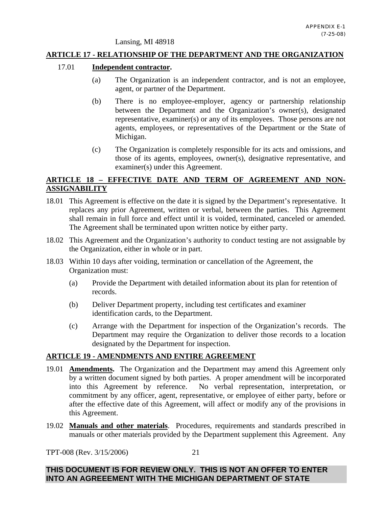Lansing, MI 48918

#### **ARTICLE 17 - RELATIONSHIP OF THE DEPARTMENT AND THE ORGANIZATION**

#### 17.01 **Independent contractor.**

- (a) The Organization is an independent contractor, and is not an employee, agent, or partner of the Department.
- (b) There is no employee-employer, agency or partnership relationship between the Department and the Organization's owner(s), designated representative, examiner(s) or any of its employees. Those persons are not agents, employees, or representatives of the Department or the State of Michigan.
- (c) The Organization is completely responsible for its acts and omissions, and those of its agents, employees, owner(s), designative representative, and examiner(s) under this Agreement.

#### **ARTICLE 18 – EFFECTIVE DATE AND TERM OF AGREEMENT AND NON-ASSIGNABILITY**

- 18.01 This Agreement is effective on the date it is signed by the Department's representative. It replaces any prior Agreement, written or verbal, between the parties. This Agreement shall remain in full force and effect until it is voided, terminated, canceled or amended. The Agreement shall be terminated upon written notice by either party.
- 18.02 This Agreement and the Organization's authority to conduct testing are not assignable by the Organization, either in whole or in part.
- 18.03 Within 10 days after voiding, termination or cancellation of the Agreement, the Organization must:
	- (a) Provide the Department with detailed information about its plan for retention of records.
	- (b) Deliver Department property, including test certificates and examiner identification cards, to the Department.
	- (c) Arrange with the Department for inspection of the Organization's records. The Department may require the Organization to deliver those records to a location designated by the Department for inspection.

#### **ARTICLE 19 - AMENDMENTS AND ENTIRE AGREEMENT**

- 19.01 **Amendments.** The Organization and the Department may amend this Agreement only by a written document signed by both parties. A proper amendment will be incorporated into this Agreement by reference. No verbal representation, interpretation, or No verbal representation, interpretation, or commitment by any officer, agent, representative, or employee of either party, before or after the effective date of this Agreement, will affect or modify any of the provisions in this Agreement.
- 19.02 **Manuals and other materials**. Procedures, requirements and standards prescribed in manuals or other materials provided by the Department supplement this Agreement. Any

TPT-008 (Rev. 3/15/2006)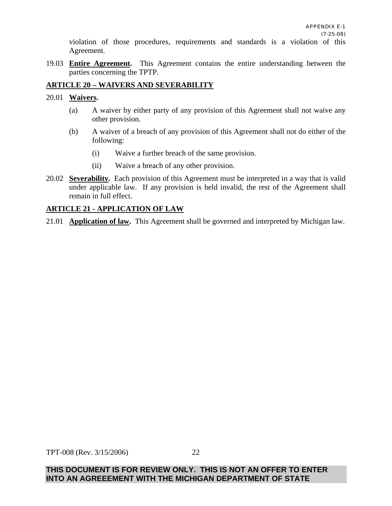violation of those procedures, requirements and standards is a violation of this Agreement.

19.03 **Entire Agreement.** This Agreement contains the entire understanding between the parties concerning the TPTP.

#### **ARTICLE 20 – WAIVERS AND SEVERABILITY**

#### 20.01 **Waivers.**

- (a) A waiver by either party of any provision of this Agreement shall not waive any other provision.
- (b) A waiver of a breach of any provision of this Agreement shall not do either of the following:
	- (i) Waive a further breach of the same provision.
	- (ii) Waive a breach of any other provision.
- 20.02 **Severability.** Each provision of this Agreement must be interpreted in a way that is valid under applicable law. If any provision is held invalid, the rest of the Agreement shall remain in full effect.

#### **ARTICLE 21 - APPLICATION OF LAW**

21.01 **Application of law.** This Agreement shall be governed and interpreted by Michigan law.